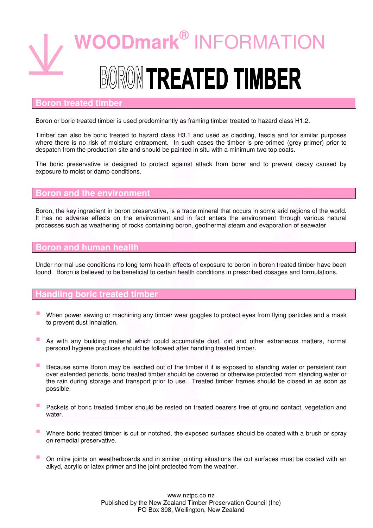

### **Boron treated timber**

Boron or boric treated timber is used predominantly as framing timber treated to hazard class H1.2.

Timber can also be boric treated to hazard class H3.1 and used as cladding, fascia and for similar purposes where there is no risk of moisture entrapment. In such cases the timber is pre-primed (grey primer) prior to despatch from the production site and should be painted in situ with a minimum two top coats.

The boric preservative is designed to protect against attack from borer and to prevent decay caused by exposure to moist or damp conditions.

### **Boron and the environment**

Boron, the key ingredient in boron preservative, is a trace mineral that occurs in some arid regions of the world. It has no adverse effects on the environment and in fact enters the environment through various natural processes such as weathering of rocks containing boron, geothermal steam and evaporation of seawater.

## **Boron and human health**

Under normal use conditions no long term health effects of exposure to boron in boron treated timber have been found. Boron is believed to be beneficial to certain health conditions in prescribed dosages and formulations.

#### **Handling boric treated timber**

- When power sawing or machining any timber wear goggles to protect eyes from flying particles and a mask to prevent dust inhalation.
- **As with any building material which could accumulate dust, dirt and other extraneous matters, normal** personal hygiene practices should be followed after handling treated timber.
- Because some Boron may be leached out of the timber if it is exposed to standing water or persistent rain over extended periods, boric treated timber should be covered or otherwise protected from standing water or the rain during storage and transport prior to use. Treated timber frames should be closed in as soon as possible.
- **Packets of boric treated timber should be rested on treated bearers free of ground contact, vegetation and** water
- Where boric treated timber is cut or notched, the exposed surfaces should be coated with a brush or spray on remedial preservative.
- On mitre joints on weatherboards and in similar jointing situations the cut surfaces must be coated with an alkyd, acrylic or latex primer and the joint protected from the weather.